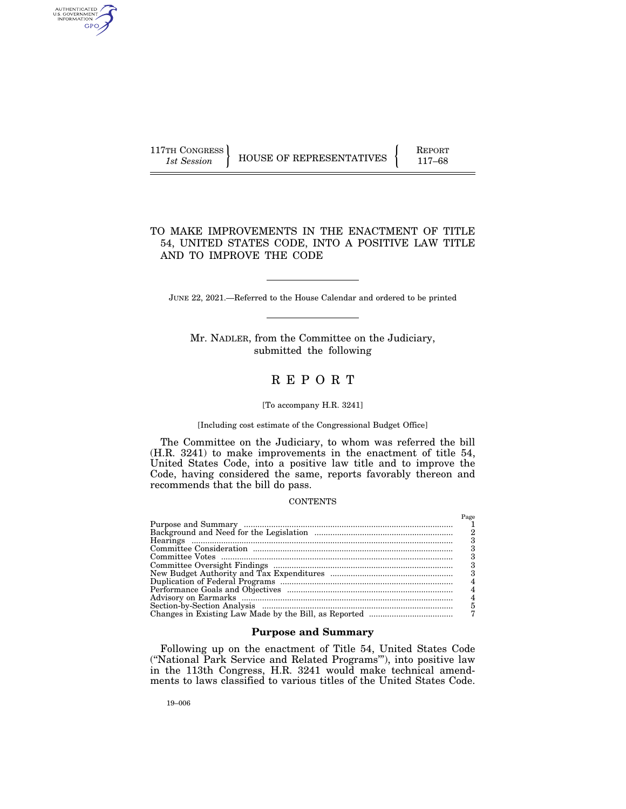| 117TH CONGRESS |                          | <b>REPORT</b> |
|----------------|--------------------------|---------------|
| 1st Session    | HOUSE OF REPRESENTATIVES | $117 - 68$    |

# TO MAKE IMPROVEMENTS IN THE ENACTMENT OF TITLE 54, UNITED STATES CODE, INTO A POSITIVE LAW TITLE AND TO IMPROVE THE CODE

JUNE 22, 2021.—Referred to the House Calendar and ordered to be printed

Mr. NADLER, from the Committee on the Judiciary, submitted the following

# R E P O R T

### [To accompany H.R. 3241]

[Including cost estimate of the Congressional Budget Office]

The Committee on the Judiciary, to whom was referred the bill (H.R. 3241) to make improvements in the enactment of title 54, United States Code, into a positive law title and to improve the Code, having considered the same, reports favorably thereon and recommends that the bill do pass.

### **CONTENTS**

| Page |
|------|
|      |
|      |
|      |
|      |
|      |
|      |
| 3    |
|      |
|      |
| 4    |
| 5    |
|      |

### **Purpose and Summary**

Following up on the enactment of Title 54, United States Code (''National Park Service and Related Programs'''), into positive law in the 113th Congress, H.R. 3241 would make technical amendments to laws classified to various titles of the United States Code.

AUTHENTICATED<br>U.S. GOVERNMENT<br>INFORMATION GPO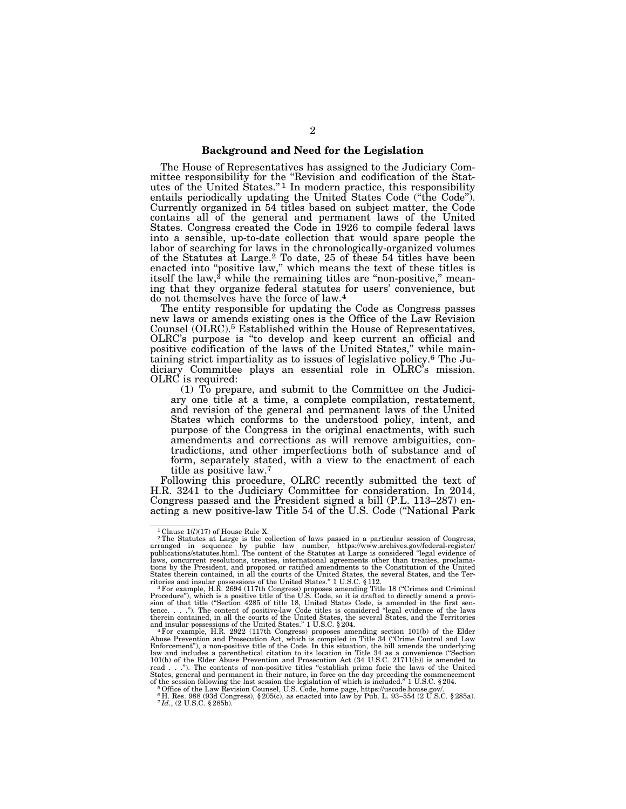### **Background and Need for the Legislation**

The House of Representatives has assigned to the Judiciary Committee responsibility for the ''Revision and codification of the Statutes of the United States.'' 1 In modern practice, this responsibility entails periodically updating the United States Code ("the Code"). Currently organized in 54 titles based on subject matter, the Code contains all of the general and permanent laws of the United States. Congress created the Code in 1926 to compile federal laws into a sensible, up-to-date collection that would spare people the labor of searching for laws in the chronologically-organized volumes of the Statutes at Large.2 To date, 25 of these 54 titles have been enacted into "positive law," which means the text of these titles is itself the law,<sup>3</sup> while the remaining titles are "non-positive," meaning that they organize federal statutes for users' convenience, but do not themselves have the force of law.4

The entity responsible for updating the Code as Congress passes new laws or amends existing ones is the Office of the Law Revision Counsel (OLRC).5 Established within the House of Representatives, OLRC's purpose is ''to develop and keep current an official and positive codification of the laws of the United States,'' while maintaining strict impartiality as to issues of legislative policy.6 The Judiciary Committee plays an essential role in OLRC's mission. OLRC is required:

(1) To prepare, and submit to the Committee on the Judiciary one title at a time, a complete compilation, restatement, and revision of the general and permanent laws of the United States which conforms to the understood policy, intent, and purpose of the Congress in the original enactments, with such amendments and corrections as will remove ambiguities, contradictions, and other imperfections both of substance and of form, separately stated, with a view to the enactment of each title as positive law.7

Following this procedure, OLRC recently submitted the text of H.R. 3241 to the Judiciary Committee for consideration. In 2014, Congress passed and the President signed a bill (P.L. 113–287) enacting a new positive-law Title 54 of the U.S. Code (''National Park

<sup>&</sup>lt;sup>1</sup> Clause  $1(l)(17)$  of House Rule X.<br><sup>2</sup>The Statutes at Large is the collection of laws passed in a particular session of Congress, arranged in sequence by public law number, https://www.archives.gov/federal-register/ publications/statutes.html. The content of the Statutes at Large is considered ''legal evidence of laws, concurrent resolutions, treaties, international agreements other than treaties, proclama-<br>tions by the President, and proposed or ratified amendments to the Constitution of the United<br>States therein contained, in all

ritories and insular possessions of the United States." 1 U.S.C. § 112.<br>"For example, H.R. 2694 (117th Congress) proposes amending Title 18 ("Crimes and Criminal<br>Procedure"), which is a positive title of the U.S. Code, so sion of that title ("Section 4285 of title 18, United States Code, is amended in the first sen-<br>tence. . . ."). The content of positive-law Code titles is considered "legal evidence of the laws<br>therein contained, in all th

and insular possessions of the United States." 1 U.S.C. § 204.<br>"For example, H.R. 2922 (117th Congress) proposes amending section 101(b) of the Elder<br>Abuse Prevention and Prosecution Act, which is compiled in Title 34 ("Cr Enforcement"), a non-positive title of the Code. In this situation, the bill amends the underlying<br>law and includes a parenthetical citation to its location in Title 34 as a convenience ("Section<br>101(b) of the Elder Abuse read . . .''). The contents of non-positive titles ''establish prima facie the laws of the United States, general and permanent in their nature, in force on the day preceding the commencement

of the session following the last session the legislation of which is included." 1 U.S.C. § 204.<br><sup>5</sup> Office of the Law Revision Counsel, U.S. Code, home page, https://uscode.house.gov/.<br><sup>6</sup> H. Res. 988 (93d Congress), § 20 7 *Id.*, (2 U.S.C. § 285b).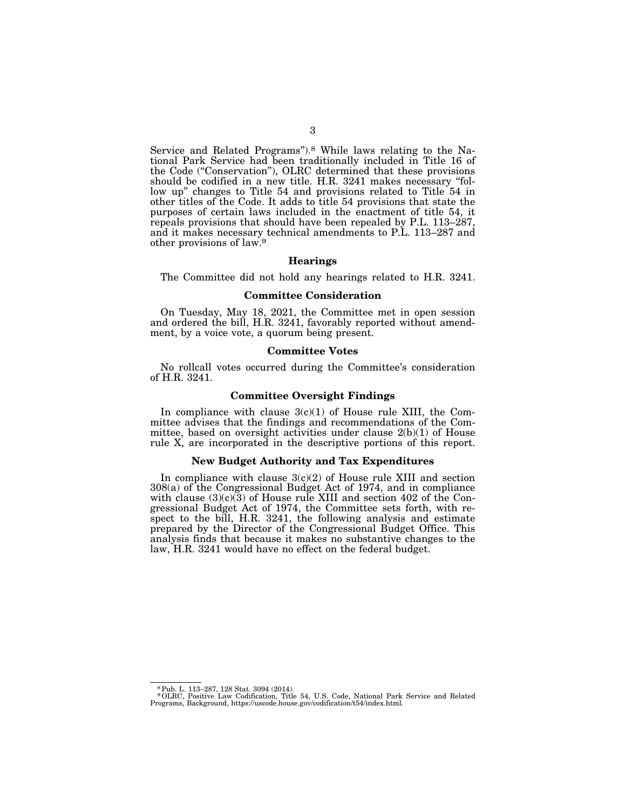Service and Related Programs").<sup>8</sup> While laws relating to the National Park Service had been traditionally included in Title 16 of the Code (''Conservation''), OLRC determined that these provisions should be codified in a new title. H.R. 3241 makes necessary ''follow up" changes to Title 54 and provisions related to Title 54 in other titles of the Code. It adds to title 54 provisions that state the purposes of certain laws included in the enactment of title 54, it repeals provisions that should have been repealed by P.L. 113–287, and it makes necessary technical amendments to P.L. 113–287 and other provisions of law.9

#### **Hearings**

The Committee did not hold any hearings related to H.R. 3241.

### **Committee Consideration**

On Tuesday, May 18, 2021, the Committee met in open session and ordered the bill, H.R. 3241, favorably reported without amendment, by a voice vote, a quorum being present.

### **Committee Votes**

No rollcall votes occurred during the Committee's consideration of H.R. 3241.

### **Committee Oversight Findings**

In compliance with clause  $3(c)(1)$  of House rule XIII, the Committee advises that the findings and recommendations of the Committee, based on oversight activities under clause 2(b)(1) of House rule X, are incorporated in the descriptive portions of this report.

### **New Budget Authority and Tax Expenditures**

In compliance with clause  $3(c)(2)$  of House rule XIII and section 308(a) of the Congressional Budget Act of 1974, and in compliance with clause  $(3)(c)(3)$  of House rule XIII and section 402 of the Congressional Budget Act of 1974, the Committee sets forth, with respect to the bill, H.R. 3241, the following analysis and estimate prepared by the Director of the Congressional Budget Office. This analysis finds that because it makes no substantive changes to the law, H.R. 3241 would have no effect on the federal budget.

<sup>8</sup>Pub. L. 113–287, 128 Stat. 3094 (2014). 9OLRC, Positive Law Codification, Title 54, U.S. Code, National Park Service and Related Programs, Background, https://uscode.house.gov/codification/t54/index.html.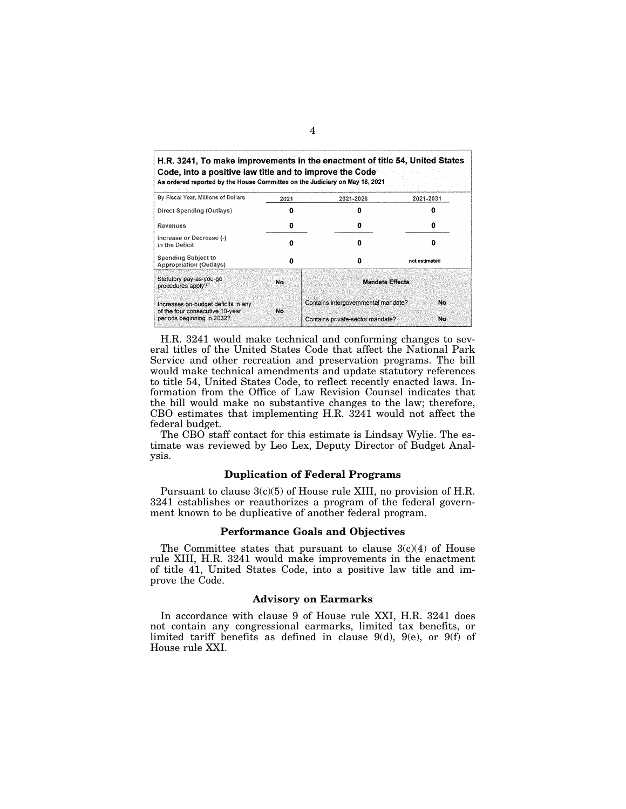| H.R. 3241, To make improvements in the enactment of title 54, United States.<br>Code, into a positive law title and to improve the Code<br>As ordered reported by the House Committee on the Judiciary on May 18, 2021 |      | The control of the property of the con- |                                 |  |
|------------------------------------------------------------------------------------------------------------------------------------------------------------------------------------------------------------------------|------|-----------------------------------------|---------------------------------|--|
| By Fiscal Year, Millions of Dollars                                                                                                                                                                                    | 2021 | 2021-2026                               | 2021-2031<br>n<br>not estimated |  |
| Direct Spending (Outlays)                                                                                                                                                                                              |      |                                         |                                 |  |
| Revenues                                                                                                                                                                                                               |      | Ω                                       |                                 |  |
| increase or Decrease (-)<br>in the Deficit                                                                                                                                                                             |      |                                         |                                 |  |
| <b>Spending Subject to</b><br>Appropriation (Outlays)                                                                                                                                                                  | n    | n                                       |                                 |  |
| Statutory pay-as-you-go<br>procedures apply?                                                                                                                                                                           | No.  | <b>Mandate Effects</b>                  |                                 |  |
| Increases on-budget deficits in any<br>of the four consecutive 10-year                                                                                                                                                 | No   | Contains intergovernmental mandate?     | No                              |  |
| periods beginning in 2032?                                                                                                                                                                                             |      | Contains private-sector mandate?        | No                              |  |

H.R. 3241 would make technical and conforming changes to several titles of the United States Code that affect the National Park Service and other recreation and preservation programs. The bill would make technical amendments and update statutory references to title 54, United States Code, to reflect recently enacted laws. Information from the Office of Law Revision Counsel indicates that the bill would make no substantive changes to the law; therefore, CBO estimates that implementing H.R. 3241 would not affect the federal budget.

The CBO staff contact for this estimate is Lindsay Wylie. The estimate was reviewed by Leo Lex, Deputy Director of Budget Analysis.

### **Duplication of Federal Programs**

Pursuant to clause 3(c)(5) of House rule XIII, no provision of H.R. 3241 establishes or reauthorizes a program of the federal government known to be duplicative of another federal program.

### **Performance Goals and Objectives**

The Committee states that pursuant to clause  $3(c)(4)$  of House rule XIII, H.R. 3241 would make improvements in the enactment of title 41, United States Code, into a positive law title and improve the Code.

### **Advisory on Earmarks**

In accordance with clause 9 of House rule XXI, H.R. 3241 does not contain any congressional earmarks, limited tax benefits, or limited tariff benefits as defined in clause 9(d), 9(e), or 9(f) of House rule XXI.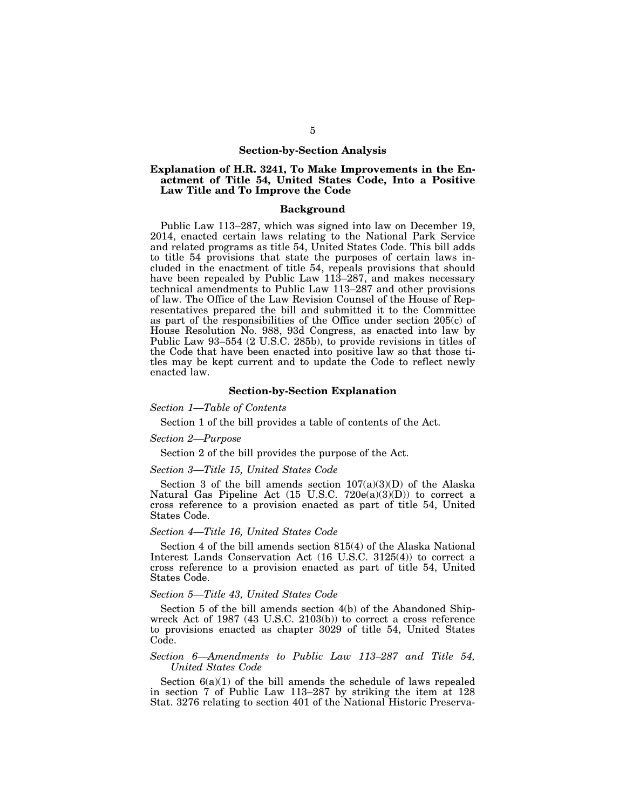#### **Section-by-Section Analysis**

### **Explanation of H.R. 3241, To Make Improvements in the Enactment of Title 54, United States Code, Into a Positive Law Title and To Improve the Code**

#### **Background**

Public Law 113–287, which was signed into law on December 19, 2014, enacted certain laws relating to the National Park Service and related programs as title 54, United States Code. This bill adds to title 54 provisions that state the purposes of certain laws included in the enactment of title 54, repeals provisions that should have been repealed by Public Law 113–287, and makes necessary technical amendments to Public Law 113–287 and other provisions of law. The Office of the Law Revision Counsel of the House of Representatives prepared the bill and submitted it to the Committee as part of the responsibilities of the Office under section 205(c) of House Resolution No. 988, 93d Congress, as enacted into law by Public Law 93–554 (2 U.S.C. 285b), to provide revisions in titles of the Code that have been enacted into positive law so that those titles may be kept current and to update the Code to reflect newly enacted law.

### **Section-by-Section Explanation**

#### *Section 1—Table of Contents*

Section 1 of the bill provides a table of contents of the Act.

#### *Section 2—Purpose*

Section 2 of the bill provides the purpose of the Act.

# *Section 3—Title 15, United States Code*

Section 3 of the bill amends section  $107(a)(3)(D)$  of the Alaska Natural Gas Pipeline Act (15 U.S.C. 720 $e(a)(3)(D)$ ) to correct a cross reference to a provision enacted as part of title 54, United States Code.

### *Section 4—Title 16, United States Code*

Section 4 of the bill amends section 815(4) of the Alaska National Interest Lands Conservation Act (16 U.S.C. 3125(4)) to correct a cross reference to a provision enacted as part of title 54, United States Code.

### *Section 5—Title 43, United States Code*

Section 5 of the bill amends section 4(b) of the Abandoned Shipwreck Act of 1987 (43 U.S.C. 2103(b)) to correct a cross reference to provisions enacted as chapter 3029 of title 54, United States Code.

### *Section 6—Amendments to Public Law 113–287 and Title 54, United States Code*

Section  $6(a)(1)$  of the bill amends the schedule of laws repealed in section 7 of Public Law 113–287 by striking the item at 128 Stat. 3276 relating to section 401 of the National Historic Preserva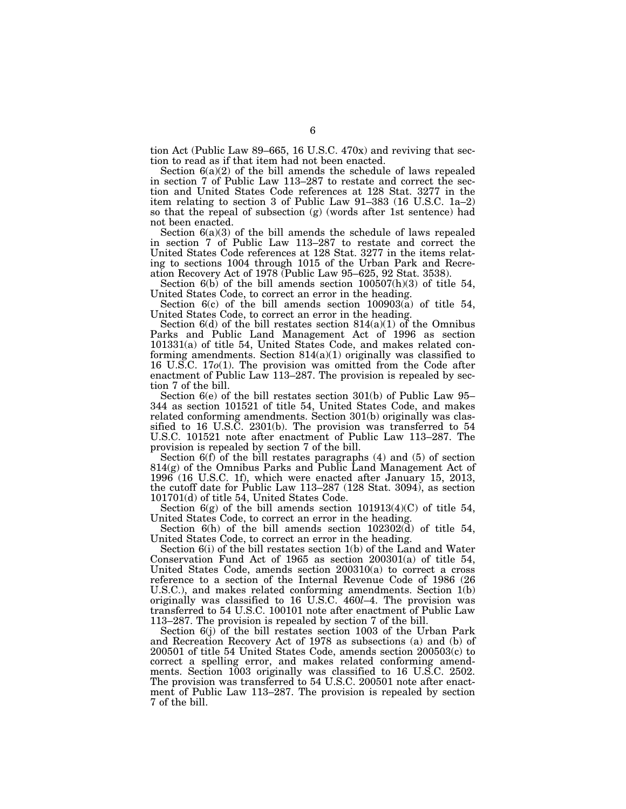tion Act (Public Law 89–665, 16 U.S.C. 470x) and reviving that section to read as if that item had not been enacted.

Section  $6(a)(2)$  of the bill amends the schedule of laws repealed in section 7 of Public Law 113–287 to restate and correct the section and United States Code references at 128 Stat. 3277 in the item relating to section 3 of Public Law 91–383 (16 U.S.C. 1a–2) so that the repeal of subsection (g) (words after 1st sentence) had not been enacted.

Section  $6(a)(3)$  of the bill amends the schedule of laws repealed in section 7 of Public Law 113–287 to restate and correct the United States Code references at 128 Stat. 3277 in the items relating to sections 1004 through 1015 of the Urban Park and Recreation Recovery Act of 1978 (Public Law 95–625, 92 Stat. 3538).

Section  $6(b)$  of the bill amends section  $100507(h)(3)$  of title 54, United States Code, to correct an error in the heading.

Section  $6(c)$  of the bill amends section  $100903(a)$  of title 54, United States Code, to correct an error in the heading.

Section  $6(d)$  of the bill restates section  $814(a)(1)$  of the Omnibus Parks and Public Land Management Act of 1996 as section 101331(a) of title 54, United States Code, and makes related conforming amendments. Section  $814(a)(1)$  originally was classified to 16 U.S.C. 17*o*(1). The provision was omitted from the Code after enactment of Public Law 113–287. The provision is repealed by section 7 of the bill.

Section 6(e) of the bill restates section 301(b) of Public Law 95– 344 as section 101521 of title 54, United States Code, and makes related conforming amendments. Section 301(b) originally was classified to 16 U.S.C. 2301(b). The provision was transferred to 54 U.S.C. 101521 note after enactment of Public Law 113–287. The provision is repealed by section 7 of the bill.

Section 6(f) of the bill restates paragraphs (4) and (5) of section 814(g) of the Omnibus Parks and Public Land Management Act of 1996 (16 U.S.C. 1f), which were enacted after January 15, 2013, the cutoff date for Public Law 113–287 (128 Stat. 3094), as section 101701(d) of title 54, United States Code.

Section  $6(g)$  of the bill amends section  $101913(4)(C)$  of title 54, United States Code, to correct an error in the heading.

Section 6(h) of the bill amends section 102302(d) of title 54, United States Code, to correct an error in the heading.

Section 6(i) of the bill restates section 1(b) of the Land and Water Conservation Fund Act of 1965 as section 200301(a) of title 54, United States Code, amends section 200310(a) to correct a cross reference to a section of the Internal Revenue Code of 1986 (26 U.S.C.), and makes related conforming amendments. Section 1(b) originally was classified to 16 U.S.C. 460*l*–4. The provision was transferred to 54 U.S.C. 100101 note after enactment of Public Law 113–287. The provision is repealed by section 7 of the bill.

Section 6(j) of the bill restates section 1003 of the Urban Park and Recreation Recovery Act of 1978 as subsections (a) and (b) of 200501 of title 54 United States Code, amends section 200503(c) to correct a spelling error, and makes related conforming amendments. Section 1003 originally was classified to 16 U.S.C. 2502. The provision was transferred to 54 U.S.C. 200501 note after enactment of Public Law 113–287. The provision is repealed by section 7 of the bill.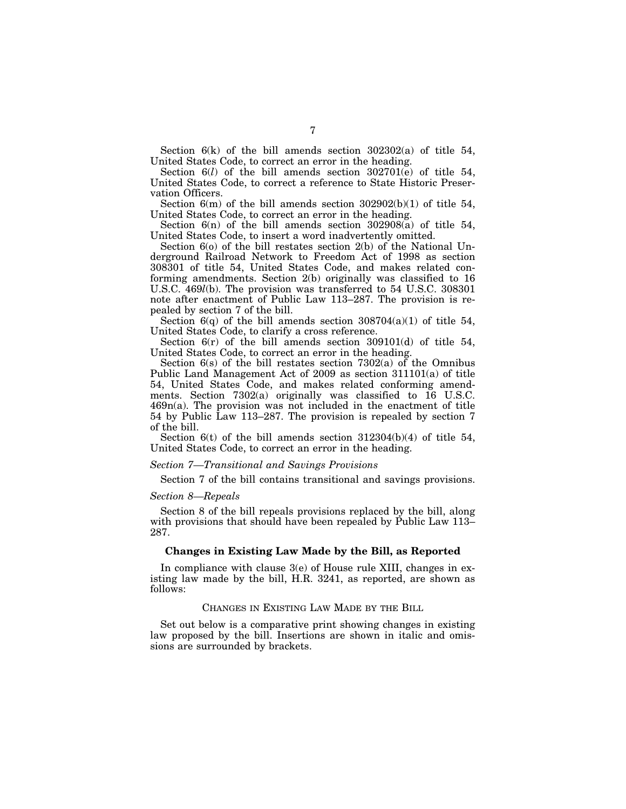Section  $6(k)$  of the bill amends section  $302302(a)$  of title 54, United States Code, to correct an error in the heading.

Section 6(*l*) of the bill amends section 302701(e) of title 54, United States Code, to correct a reference to State Historic Preservation Officers.

Section  $6(m)$  of the bill amends section  $302902(b)(1)$  of title 54, United States Code, to correct an error in the heading.

Section  $6(n)$  of the bill amends section  $302908(a)$  of title 54, United States Code, to insert a word inadvertently omitted.

Section 6(o) of the bill restates section 2(b) of the National Underground Railroad Network to Freedom Act of 1998 as section 308301 of title 54, United States Code, and makes related conforming amendments. Section 2(b) originally was classified to 16 U.S.C. 469*l*(b). The provision was transferred to 54 U.S.C. 308301 note after enactment of Public Law 113–287. The provision is repealed by section 7 of the bill.

Section  $6(q)$  of the bill amends section  $308704(a)(1)$  of title 54, United States Code, to clarify a cross reference.

Section  $6(r)$  of the bill amends section 309101(d) of title 54, United States Code, to correct an error in the heading.

Section 6(s) of the bill restates section 7302(a) of the Omnibus Public Land Management Act of 2009 as section 311101(a) of title 54, United States Code, and makes related conforming amendments. Section 7302(a) originally was classified to 16 U.S.C. 469n(a). The provision was not included in the enactment of title 54 by Public Law 113–287. The provision is repealed by section 7 of the bill.

Section  $6(t)$  of the bill amends section  $312304(b)(4)$  of title 54, United States Code, to correct an error in the heading.

### *Section 7—Transitional and Savings Provisions*

Section 7 of the bill contains transitional and savings provisions.

#### *Section 8—Repeals*

Section 8 of the bill repeals provisions replaced by the bill, along with provisions that should have been repealed by Public Law 113– 287.

### **Changes in Existing Law Made by the Bill, as Reported**

In compliance with clause 3(e) of House rule XIII, changes in existing law made by the bill, H.R. 3241, as reported, are shown as follows:

CHANGES IN EXISTING LAW MADE BY THE BILL

Set out below is a comparative print showing changes in existing law proposed by the bill. Insertions are shown in italic and omissions are surrounded by brackets.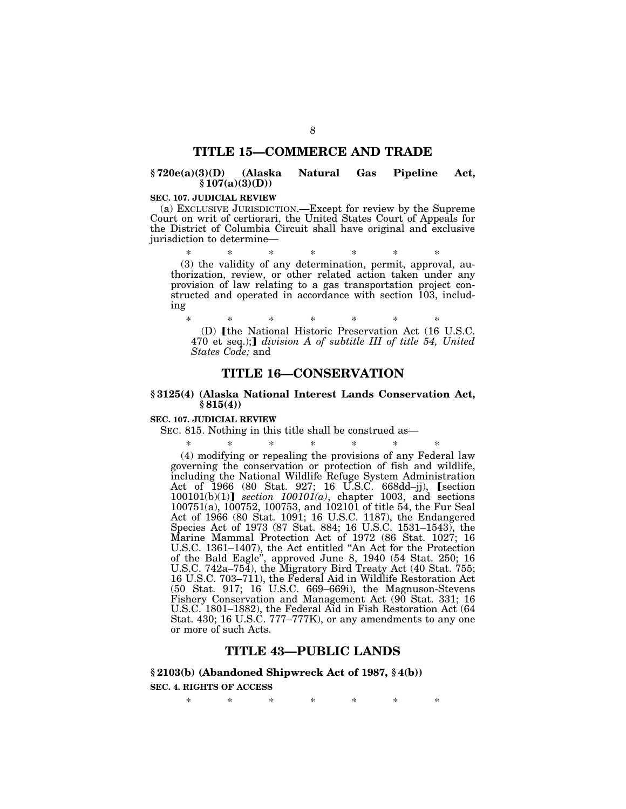# **TITLE 15—COMMERCE AND TRADE**

# **§ 720e(a)(3)(D) (Alaska Natural Gas Pipeline Act,**   $$107(a)(3)(D))$

### **SEC. 107. JUDICIAL REVIEW**

(a) EXCLUSIVE JURISDICTION.—Except for review by the Supreme Court on writ of certiorari, the United States Court of Appeals for the District of Columbia Circuit shall have original and exclusive jurisdiction to determine—

\* \* \* \* \* \* \* (3) the validity of any determination, permit, approval, authorization, review, or other related action taken under any provision of law relating to a gas transportation project constructed and operated in accordance with section 103, including

\* \* \* \* \* \* \* (D) Ithe National Historic Preservation Act (16 U.S.C. 470 et seq.);] *division A of subtitle III of title 54, United States Code;* and

# **TITLE 16—CONSERVATION**

## **§ 3125(4) (Alaska National Interest Lands Conservation Act, § 815(4))**

#### **SEC. 107. JUDICIAL REVIEW**

SEC. 815. Nothing in this title shall be construed as—

\* \* \* \* \* \* \* (4) modifying or repealing the provisions of any Federal law governing the conservation or protection of fish and wildlife, including the National Wildlife Refuge System Administration Act of 1966 (80 Stat. 927; 16 U.S.C. 668dd–jj), [section  $100101(b)(1)$  *section 100101(a)*, chapter 1003, and sections 100751(a), 100752, 100753, and 102101 of title 54, the Fur Seal Act of 1966 (80 Stat. 1091; 16 U.S.C. 1187), the Endangered Species Act of 1973 (87 Stat. 884; 16 U.S.C. 1531–1543), the Marine Mammal Protection Act of 1972 (86 Stat. 1027; 16 U.S.C. 1361–1407), the Act entitled ''An Act for the Protection of the Bald Eagle'', approved June 8, 1940 (54 Stat. 250; 16 U.S.C. 742a–754), the Migratory Bird Treaty Act (40 Stat. 755; 16 U.S.C. 703–711), the Federal Aid in Wildlife Restoration Act (50 Stat. 917; 16 U.S.C. 669–669i), the Magnuson-Stevens Fishery Conservation and Management Act (90 Stat. 331; 16 U.S.C. 1801–1882), the Federal Aid in Fish Restoration Act (64 Stat. 430; 16 U.S.C. 777–777K), or any amendments to any one or more of such Acts.

# **TITLE 43—PUBLIC LANDS**

### **§ 2103(b) (Abandoned Shipwreck Act of 1987, § 4(b))**

### **SEC. 4. RIGHTS OF ACCESS**

\* \* \* \* \* \* \*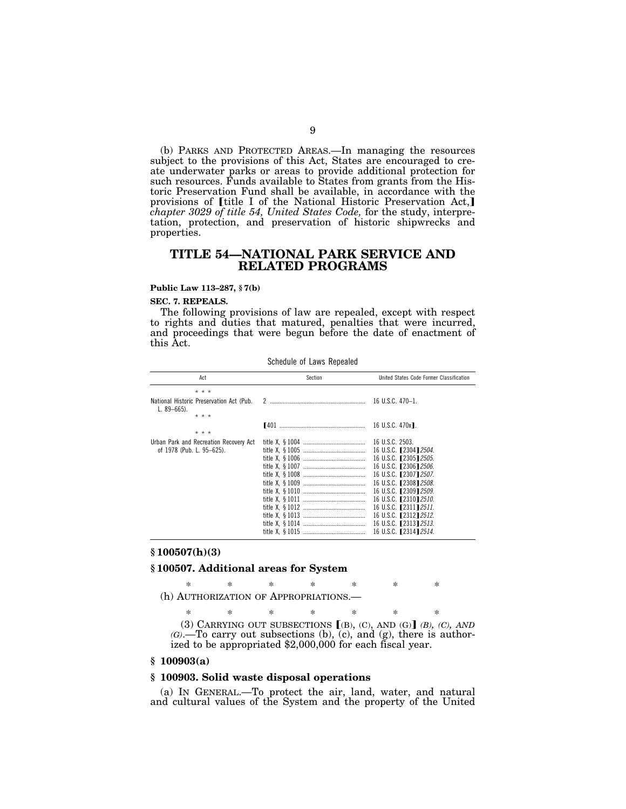(b) PARKS AND PROTECTED AREAS.—In managing the resources subject to the provisions of this Act, States are encouraged to create underwater parks or areas to provide additional protection for such resources. Funds available to States from grants from the Historic Preservation Fund shall be available, in accordance with the provisions of [title I of the National Historic Preservation Act,] *chapter 3029 of title 54, United States Code,* for the study, interpretation, protection, and preservation of historic shipwrecks and properties.

# **TITLE 54—NATIONAL PARK SERVICE AND RELATED PROGRAMS**

#### **Public Law 113–287, § 7(b)**

#### **SEC. 7. REPEALS.**

The following provisions of law are repealed, except with respect to rights and duties that matured, penalties that were incurred, and proceedings that were begun before the date of enactment of this Act.

Schedule of Laws Repealed

| Act                                                                   | Section       | United States Code Former Classification                                                                                                                                                                                                                                                                            |  |  |
|-----------------------------------------------------------------------|---------------|---------------------------------------------------------------------------------------------------------------------------------------------------------------------------------------------------------------------------------------------------------------------------------------------------------------------|--|--|
| * * *                                                                 |               |                                                                                                                                                                                                                                                                                                                     |  |  |
| National Historic Preservation Act (Pub.<br>L. $89 - 665$ ).<br>* * * | $\mathcal{P}$ | 16 U.S.C. $470-1$ .                                                                                                                                                                                                                                                                                                 |  |  |
| * * *                                                                 |               | 16 U.S.C. 470x1.                                                                                                                                                                                                                                                                                                    |  |  |
| Urban Park and Recreation Recovery Act<br>of 1978 (Pub. L. 95-625).   |               | 16 U.S.C. 2503.<br>16 U.S.C. [2304] 2504.<br>16 U.S.C. [2305] 2505.<br>16 U.S.C. [2306] 2506.<br>16 U.S.C. [2307] 2507.<br>16 U.S.C. [2308] 2508.<br>16 U.S.C. [2309] 2509.<br>16 U.S.C. [2310] 2510.<br>16 U.S.C. [2311] 2511.<br>16 U.S.C. <b>1231212512.</b><br>16 U.S.C. [2313] 2513.<br>16 U.S.C. [2314] 2514. |  |  |

### **§ 100507(h)(3)**

#### **§ 100507. Additional areas for System**

\* \* \* \* \* \* \* (h) AUTHORIZATION OF APPROPRIATIONS.—

\* \* \* \* \* \* \* (3) CARRYING OUT SUBSECTIONS ø(B), (C), AND (G)¿ *(B), (C), AND (G)*.—To carry out subsections (b), (c), and (g), there is authorized to be appropriated \$2,000,000 for each fiscal year.

### **§ 100903(a)**

### **§ 100903. Solid waste disposal operations**

(a) IN GENERAL.—To protect the air, land, water, and natural and cultural values of the System and the property of the United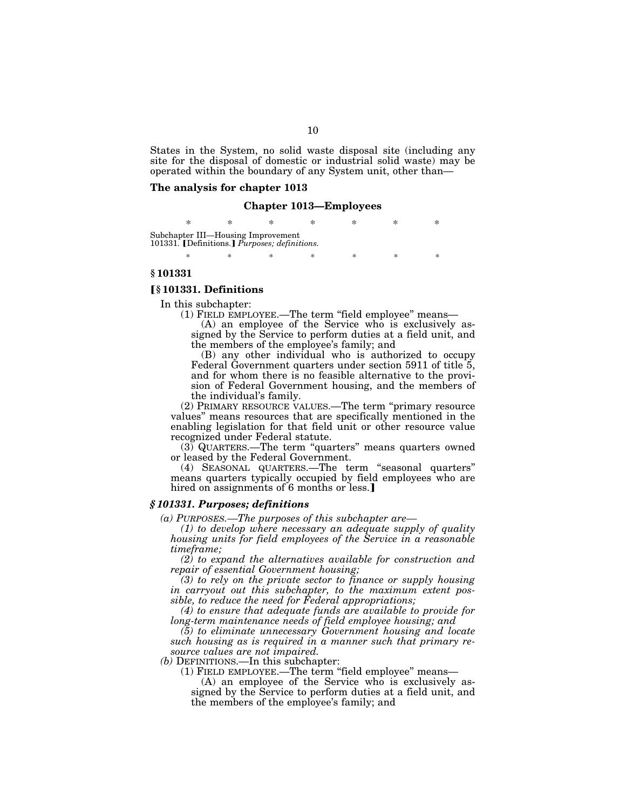States in the System, no solid waste disposal site (including any site for the disposal of domestic or industrial solid waste) may be operated within the boundary of any System unit, other than—

### **The analysis for chapter 1013**

### **Chapter 1013—Employees**

\* \* \* \* \* \* \* Subchapter III—Housing Improvement 101331. **[Definitions.]** *Purposes; definitions.* 

\* \* \* \* \* \* \* \*

### **§ 101331**

#### ø**§ 101331. Definitions**

In this subchapter:

(1) FIELD EMPLOYEE.—The term ''field employee'' means—

(A) an employee of the Service who is exclusively assigned by the Service to perform duties at a field unit, and the members of the employee's family; and

(B) any other individual who is authorized to occupy Federal Government quarters under section 5911 of title 5, and for whom there is no feasible alternative to the provision of Federal Government housing, and the members of the individual's family.

(2) PRIMARY RESOURCE VALUES.—The term ''primary resource values'' means resources that are specifically mentioned in the enabling legislation for that field unit or other resource value recognized under Federal statute.

(3) QUARTERS.—The term ''quarters'' means quarters owned or leased by the Federal Government.

(4) SEASONAL QUARTERS.—The term ''seasonal quarters'' means quarters typically occupied by field employees who are hired on assignments of 6 months or less.]

### *§ 101331. Purposes; definitions*

*(a) PURPOSES.—The purposes of this subchapter are—* 

*(1) to develop where necessary an adequate supply of quality housing units for field employees of the Service in a reasonable timeframe;* 

*(2) to expand the alternatives available for construction and repair of essential Government housing;* 

*(3) to rely on the private sector to finance or supply housing in carryout out this subchapter, to the maximum extent possible, to reduce the need for Federal appropriations;* 

*(4) to ensure that adequate funds are available to provide for long-term maintenance needs of field employee housing; and* 

*(5) to eliminate unnecessary Government housing and locate such housing as is required in a manner such that primary resource values are not impaired.* 

*(b)* DEFINITIONS.—In this subchapter:

(1) FIELD EMPLOYEE.—The term ''field employee'' means—

(A) an employee of the Service who is exclusively assigned by the Service to perform duties at a field unit, and the members of the employee's family; and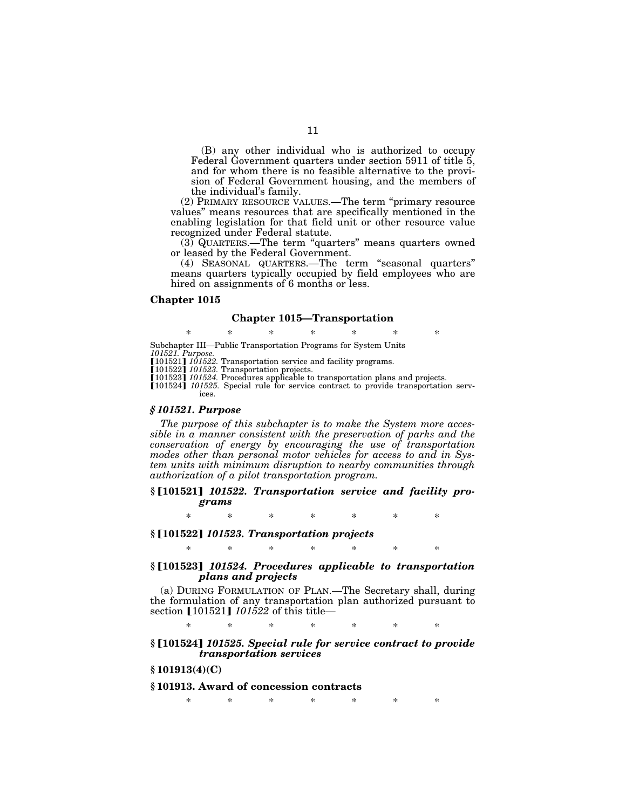(B) any other individual who is authorized to occupy Federal Government quarters under section 5911 of title 5, and for whom there is no feasible alternative to the provision of Federal Government housing, and the members of the individual's family.

(2) PRIMARY RESOURCE VALUES.—The term ''primary resource values'' means resources that are specifically mentioned in the enabling legislation for that field unit or other resource value recognized under Federal statute.

(3) QUARTERS.—The term ''quarters'' means quarters owned or leased by the Federal Government.

(4) SEASONAL QUARTERS.—The term ''seasonal quarters'' means quarters typically occupied by field employees who are hired on assignments of 6 months or less.

#### **Chapter 1015**

#### **Chapter 1015—Transportation**

\* \* \* \* \* \* \* Subchapter III—Public Transportation Programs for System Units *101521. Purpose.* 

**[101521]** *101522*. Transportation service and facility programs.

ø101522¿ *101523.* Transportation projects.

[101523] 101524. Procedures applicable to transportation plans and projects.

[101524] *101525*. Special rule for service contract to provide transportation services.

### *§ 101521. Purpose*

*The purpose of this subchapter is to make the System more accessible in a manner consistent with the preservation of parks and the conservation of energy by encouraging the use of transportation modes other than personal motor vehicles for access to and in System units with minimum disruption to nearby communities through authorization of a pilot transportation program.* 

### **§** ø**101521**¿ *101522. Transportation service and facility programs*

\* \* \* \* \* \* \*

### **§** ø**101522**¿ *101523. Transportation projects*

\* \* \* \* \* \* \*

# §<sup>[101523]</sup> *101524. Procedures applicable to transportation plans and projects*

(a) DURING FORMULATION OF PLAN.—The Secretary shall, during the formulation of any transportation plan authorized pursuant to section [101521] *101522* of this title—

\* \* \* \* \* \* \*

### §<sup>[101524]</sup> *101525. Special rule for service contract to provide transportation services*

# **§ 101913(4)(C)**

### **§ 101913. Award of concession contracts**

\* \* \* \* \* \* \*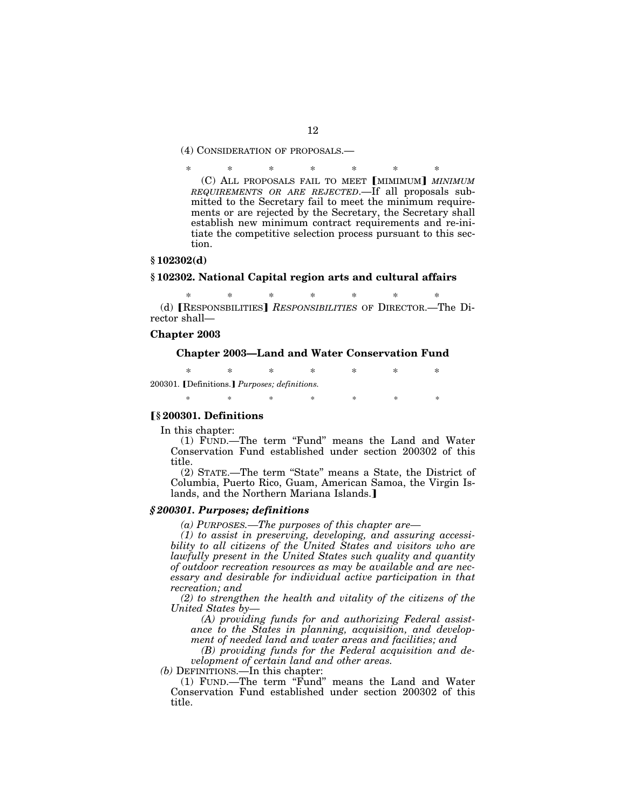(4) CONSIDERATION OF PROPOSALS.—

\* \* \* \* \* \* \* (C) ALL PROPOSALS FAIL TO MEET [MIMIMUM] *MINIMUM REQUIREMENTS OR ARE REJECTED*.—If all proposals submitted to the Secretary fail to meet the minimum requirements or are rejected by the Secretary, the Secretary shall establish new minimum contract requirements and re-initiate the competitive selection process pursuant to this section.

#### **§ 102302(d)**

### **§ 102302. National Capital region arts and cultural affairs**

\* \* \* \* \* \* \* (d) **RESPONSBILITIES** *RESPONSIBILITIES* OF DIRECTOR.—The Director shall—

#### **Chapter 2003**

## **Chapter 2003—Land and Water Conservation Fund**

\* \* \* \* \* \* \* 200301. [Definitions.] Purposes; definitions. \* \* \* \* \* \* \* \*

# ø**§ 200301. Definitions**

In this chapter:

(1) FUND.—The term ''Fund'' means the Land and Water Conservation Fund established under section 200302 of this title.

(2) STATE.—The term ''State'' means a State, the District of Columbia, Puerto Rico, Guam, American Samoa, the Virgin Islands, and the Northern Mariana Islands.]

### *§ 200301. Purposes; definitions*

*(a) PURPOSES.—The purposes of this chapter are—* 

*(1) to assist in preserving, developing, and assuring accessibility to all citizens of the United States and visitors who are lawfully present in the United States such quality and quantity of outdoor recreation resources as may be available and are necessary and desirable for individual active participation in that recreation; and* 

*(2) to strengthen the health and vitality of the citizens of the United States by—* 

*(A) providing funds for and authorizing Federal assistance to the States in planning, acquisition, and development of needed land and water areas and facilities; and* 

*(B) providing funds for the Federal acquisition and development of certain land and other areas.* 

*(b)* DEFINITIONS.—In this chapter:

(1) FUND.—The term ''Fund'' means the Land and Water Conservation Fund established under section 200302 of this title.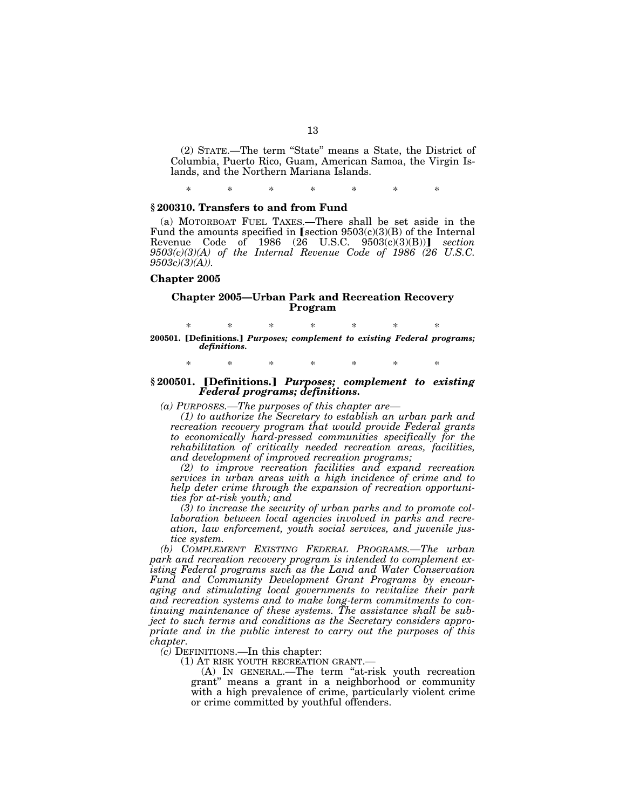(2) STATE.—The term ''State'' means a State, the District of Columbia, Puerto Rico, Guam, American Samoa, the Virgin Islands, and the Northern Mariana Islands.

\* \* \* \* \* \* \*

### **§ 200310. Transfers to and from Fund**

(a) MOTORBOAT FUEL TAXES.—There shall be set aside in the Fund the amounts specified in [section  $9503(c)(3)(B)$  of the Internal Revenue Code of 1986 (26 U.S.C. 9503(c)(3)(B))] *section 9503(c)(3)(A) of the Internal Revenue Code of 1986 (26 U.S.C. 9503c)(3)(A)).* 

### **Chapter 2005**

### **Chapter 2005—Urban Park and Recreation Recovery Program**

\* \* \* \* \* \* \* 200501. **[Definitions.] Purposes; complement to existing Federal programs;** *definitions.* 

\* \* \* \* \* \* \*

#### § 200501. **[Definitions.]** *Purposes; complement to existing Federal programs; definitions.*

*(a) PURPOSES.—The purposes of this chapter are—* 

*(1) to authorize the Secretary to establish an urban park and recreation recovery program that would provide Federal grants to economically hard-pressed communities specifically for the rehabilitation of critically needed recreation areas, facilities, and development of improved recreation programs;* 

*(2) to improve recreation facilities and expand recreation services in urban areas with a high incidence of crime and to help deter crime through the expansion of recreation opportunities for at-risk youth; and* 

*(3) to increase the security of urban parks and to promote collaboration between local agencies involved in parks and recreation, law enforcement, youth social services, and juvenile justice system.* 

*(b) COMPLEMENT EXISTING FEDERAL PROGRAMS.—The urban park and recreation recovery program is intended to complement existing Federal programs such as the Land and Water Conservation Fund and Community Development Grant Programs by encouraging and stimulating local governments to revitalize their park and recreation systems and to make long-term commitments to continuing maintenance of these systems. The assistance shall be subject to such terms and conditions as the Secretary considers appropriate and in the public interest to carry out the purposes of this chapter.* 

*(c)* DEFINITIONS.—In this chapter:

(A) IN GENERAL.—The term "at-risk youth recreation grant'' means a grant in a neighborhood or community with a high prevalence of crime, particularly violent crime or crime committed by youthful offenders.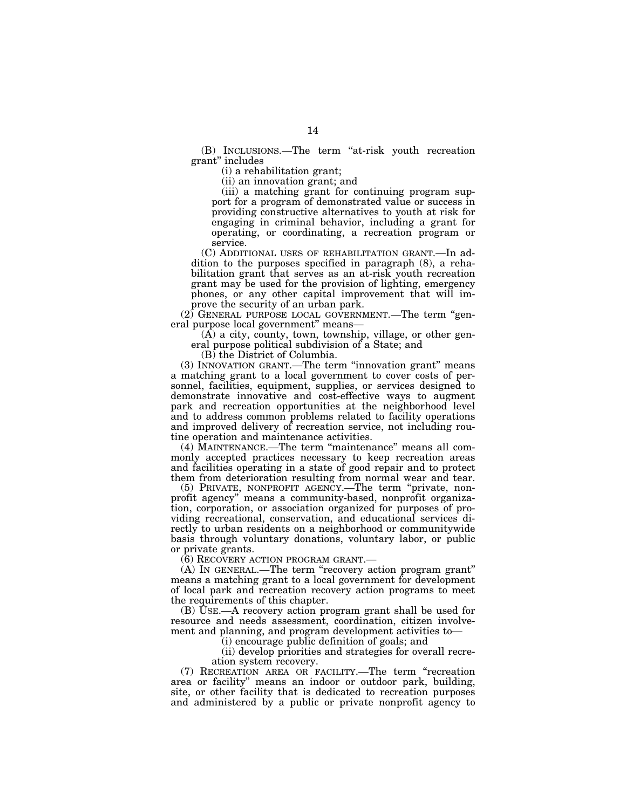(B) INCLUSIONS.—The term ''at-risk youth recreation grant'' includes

(i) a rehabilitation grant;

(ii) an innovation grant; and

(iii) a matching grant for continuing program support for a program of demonstrated value or success in providing constructive alternatives to youth at risk for engaging in criminal behavior, including a grant for operating, or coordinating, a recreation program or service.

(C) ADDITIONAL USES OF REHABILITATION GRANT.—In addition to the purposes specified in paragraph (8), a rehabilitation grant that serves as an at-risk youth recreation grant may be used for the provision of lighting, emergency phones, or any other capital improvement that will improve the security of an urban park.

(2) GENERAL PURPOSE LOCAL GOVERNMENT.—The term ''general purpose local government'' means—

(A) a city, county, town, township, village, or other general purpose political subdivision of a State; and

(B) the District of Columbia.

(3) INNOVATION GRANT.—The term ''innovation grant'' means a matching grant to a local government to cover costs of personnel, facilities, equipment, supplies, or services designed to demonstrate innovative and cost-effective ways to augment park and recreation opportunities at the neighborhood level and to address common problems related to facility operations and improved delivery of recreation service, not including routine operation and maintenance activities.

(4) MAINTENANCE.—The term ''maintenance'' means all commonly accepted practices necessary to keep recreation areas and facilities operating in a state of good repair and to protect them from deterioration resulting from normal wear and tear.

(5) PRIVATE, NONPROFIT AGENCY.—The term ''private, nonprofit agency'' means a community-based, nonprofit organization, corporation, or association organized for purposes of providing recreational, conservation, and educational services directly to urban residents on a neighborhood or communitywide basis through voluntary donations, voluntary labor, or public or private grants.

(6) RECOVERY ACTION PROGRAM GRANT.—

(A) IN GENERAL.—The term ''recovery action program grant'' means a matching grant to a local government for development of local park and recreation recovery action programs to meet the requirements of this chapter.

(B) USE.—A recovery action program grant shall be used for resource and needs assessment, coordination, citizen involvement and planning, and program development activities to—

(i) encourage public definition of goals; and

(ii) develop priorities and strategies for overall recreation system recovery.

(7) RECREATION AREA OR FACILITY.—The term ''recreation area or facility'' means an indoor or outdoor park, building, site, or other facility that is dedicated to recreation purposes and administered by a public or private nonprofit agency to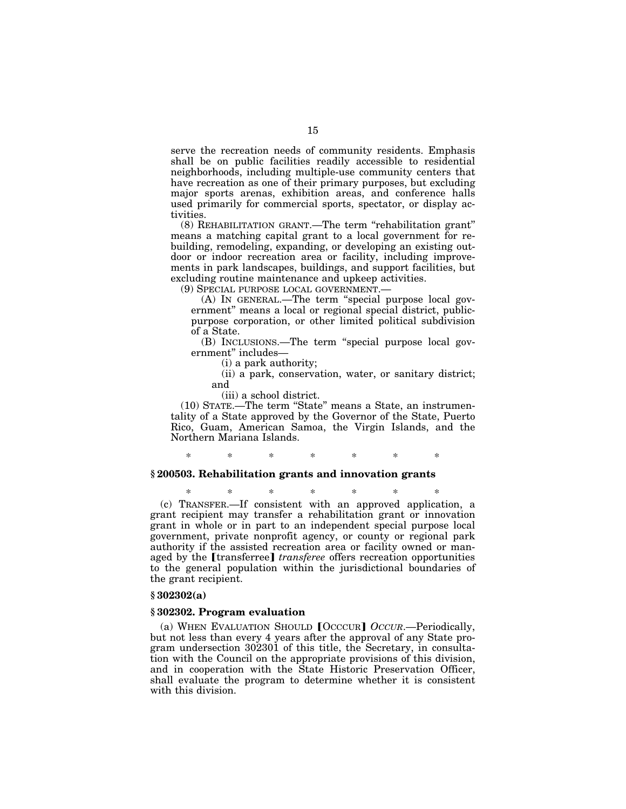serve the recreation needs of community residents. Emphasis shall be on public facilities readily accessible to residential neighborhoods, including multiple-use community centers that have recreation as one of their primary purposes, but excluding major sports arenas, exhibition areas, and conference halls used primarily for commercial sports, spectator, or display activities.

(8) REHABILITATION GRANT.—The term ''rehabilitation grant'' means a matching capital grant to a local government for rebuilding, remodeling, expanding, or developing an existing outdoor or indoor recreation area or facility, including improvements in park landscapes, buildings, and support facilities, but excluding routine maintenance and upkeep activities.

(9) SPECIAL PURPOSE LOCAL GOVERNMENT.—

(A) IN GENERAL.—The term ''special purpose local government'' means a local or regional special district, publicpurpose corporation, or other limited political subdivision of a State.

(B) INCLUSIONS.—The term ''special purpose local government'' includes—

(i) a park authority;

(ii) a park, conservation, water, or sanitary district; and

(iii) a school district.

(10) STATE.—The term ''State'' means a State, an instrumentality of a State approved by the Governor of the State, Puerto Rico, Guam, American Samoa, the Virgin Islands, and the Northern Mariana Islands.

\* \* \* \* \* \* \*

### **§ 200503. Rehabilitation grants and innovation grants**

\* \* \* \* \* \* \* (c) TRANSFER.—If consistent with an approved application, a grant recipient may transfer a rehabilitation grant or innovation grant in whole or in part to an independent special purpose local government, private nonprofit agency, or county or regional park authority if the assisted recreation area or facility owned or managed by the **[transferree]** *transferee* offers recreation opportunities to the general population within the jurisdictional boundaries of the grant recipient.

### **§ 302302(a)**

#### **§ 302302. Program evaluation**

(a) WHEN EVALUATION SHOULD **[OCCUR]** OCCUR.—Periodically, but not less than every 4 years after the approval of any State program undersection 302301 of this title, the Secretary, in consultation with the Council on the appropriate provisions of this division, and in cooperation with the State Historic Preservation Officer, shall evaluate the program to determine whether it is consistent with this division.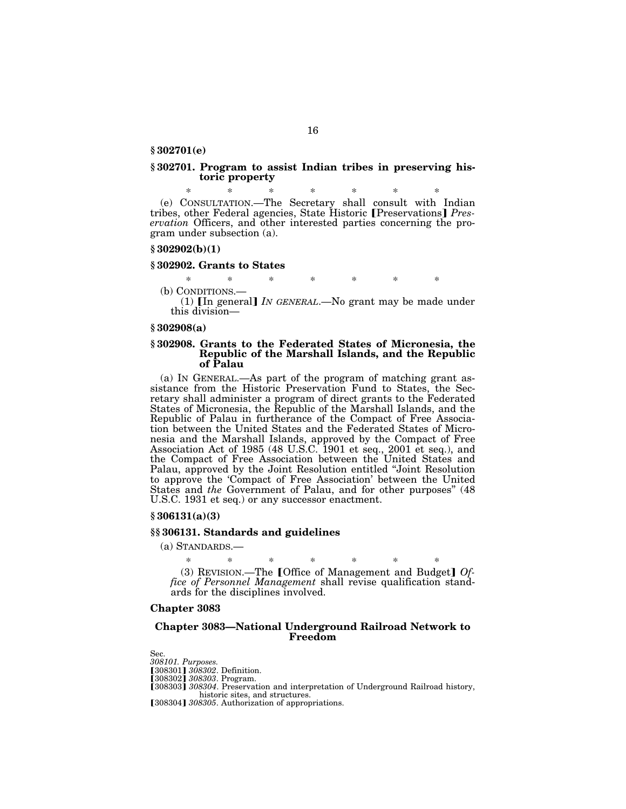**§ 302701(e)** 

### **§ 302701. Program to assist Indian tribes in preserving historic property**

\* \* \* \* \* \* \* (e) CONSULTATION.—The Secretary shall consult with Indian tribes, other Federal agencies, State Historic [Preservations] Pres*ervation* Officers, and other interested parties concerning the program under subsection (a).

### **§ 302902(b)(1)**

#### **§ 302902. Grants to States**

\* \* \* \* \* \* \*

(b) CONDITIONS.—<br>(1)  $\lceil \ln \text{general} \rceil$  *IN GENERAL*.—No grant may be made under this division—

#### **§ 302908(a)**

## **§ 302908. Grants to the Federated States of Micronesia, the Republic of the Marshall Islands, and the Republic of Palau**

(a) IN GENERAL.—As part of the program of matching grant assistance from the Historic Preservation Fund to States, the Secretary shall administer a program of direct grants to the Federated States of Micronesia, the Republic of the Marshall Islands, and the Republic of Palau in furtherance of the Compact of Free Association between the United States and the Federated States of Micronesia and the Marshall Islands, approved by the Compact of Free Association Act of 1985 (48 U.S.C. 1901 et seq., 2001 et seq.), and the Compact of Free Association between the United States and Palau, approved by the Joint Resolution entitled ''Joint Resolution to approve the 'Compact of Free Association' between the United States and *the* Government of Palau, and for other purposes'' (48 U.S.C. 1931 et seq.) or any successor enactment.

# **§ 306131(a)(3)**

### **§§ 306131. Standards and guidelines**

(a) STANDARDS.—

\* \* \* \* \* \* \* (3) REVISION.—The øOffice of Management and Budget¿ *Office of Personnel Management* shall revise qualification standards for the disciplines involved.

### **Chapter 3083**

### **Chapter 3083—National Underground Railroad Network to Freedom**

Sec. *308101. Purposes.*  **[308301] 308302. Definition.**<br>**[308302] 308303. Program.** [308303] 308304. Preservation and interpretation of Underground Railroad history, historic sites, and structures. [308304] 308305. Authorization of appropriations.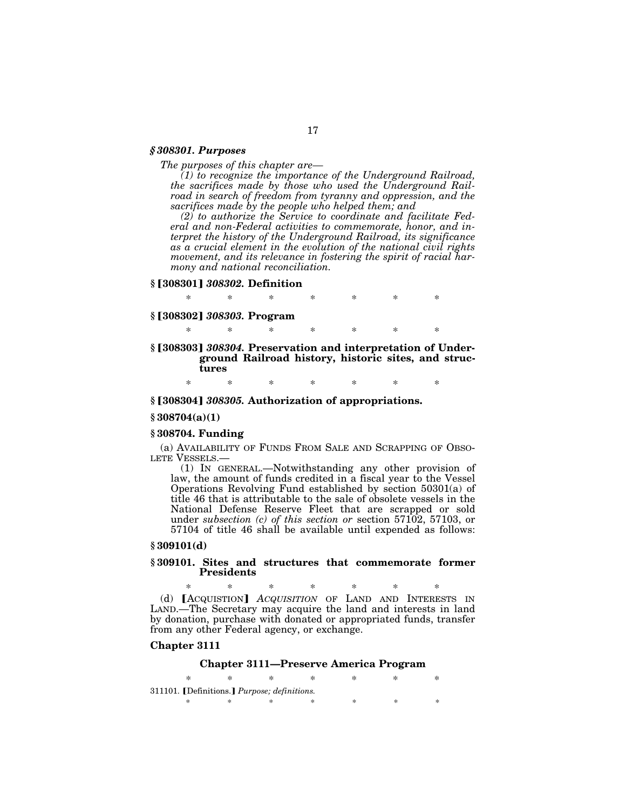# *§ 308301. Purposes*

*The purposes of this chapter are—* 

*(1) to recognize the importance of the Underground Railroad, the sacrifices made by those who used the Underground Railroad in search of freedom from tyranny and oppression, and the sacrifices made by the people who helped them; and* 

*(2) to authorize the Service to coordinate and facilitate Federal and non-Federal activities to commemorate, honor, and interpret the history of the Underground Railroad, its significance as a crucial element in the evolution of the national civil rights movement, and its relevance in fostering the spirit of racial harmony and national reconciliation.* 

### **§** ø**308301**¿ *308302.* **Definition**

\* \* \* \* \* \* \*

### **§** ø**308302**¿ *308303.* **Program**

\* \* \* \* \* \* \*

§<sup>[308303]</sup> 308304. Preservation and interpretation of Under**ground Railroad history, historic sites, and structures** 

\* \* \* \* \* \* \*

# §<sup>[308304]</sub> 308305. Authorization of appropriations.</sup>

### **§ 308704(a)(1)**

### **§ 308704. Funding**

(a) AVAILABILITY OF FUNDS FROM SALE AND SCRAPPING OF OBSOLETE VESSELS.—

(1) IN GENERAL.—Notwithstanding any other provision of law, the amount of funds credited in a fiscal year to the Vessel Operations Revolving Fund established by section 50301(a) of title 46 that is attributable to the sale of obsolete vessels in the National Defense Reserve Fleet that are scrapped or sold under *subsection (c) of this section or* section 57102, 57103, or 57104 of title 46 shall be available until expended as follows:

# **§ 309101(d)**

### **§ 309101. Sites and structures that commemorate former Presidents**

\* \* \* \* \* \* \* (d) **[ACQUISTION]** *ACQUISITION* OF LAND AND INTERESTS IN LAND.—The Secretary may acquire the land and interests in land by donation, purchase with donated or appropriated funds, transfer from any other Federal agency, or exchange.

### **Chapter 3111**

# **Chapter 3111—Preserve America Program**

|  | 311101. [Definitions.] Purpose; definitions. |  |  |
|--|----------------------------------------------|--|--|
|  |                                              |  |  |